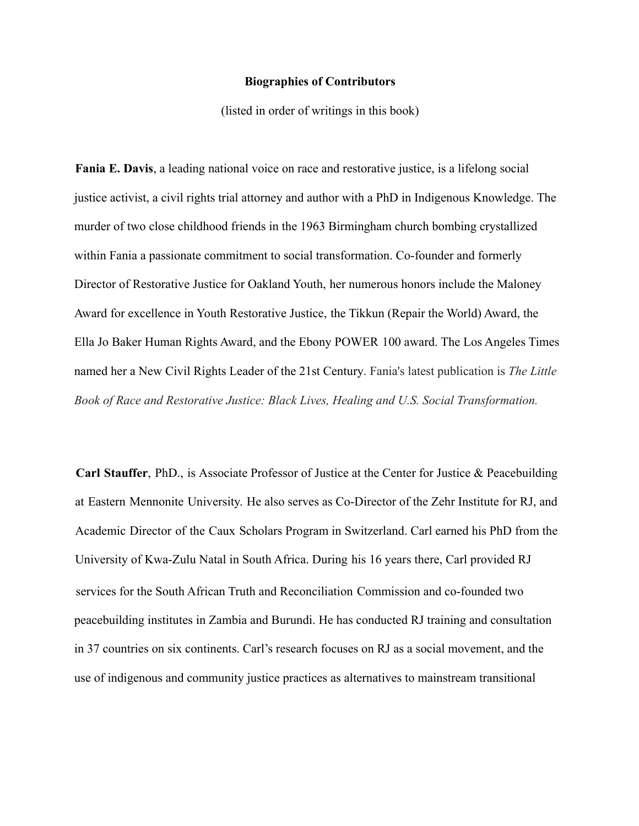## **Biographies of Contributors**

(listed in order of writings in this book)

**Fania E. Davis**, a leading national voice on race and restorative justice, is a lifelong social justice activist, a civil rights trial attorney and author with a PhD in Indigenous Knowledge. The murder of two close childhood friends in the 1963 Birmingham church bombing crystallized within Fania a passionate commitment to social transformation. Co-founder and formerly Director of Restorative Justice for Oakland Youth, her numerous honors include the Maloney Award for excellence in Youth Restorative Justice, the Tikkun (Repair the World) Award, the Ella Jo Baker Human Rights Award, and the Ebony POWER 100 award. The Los Angeles Times named her a New Civil Rights Leader of the 21st Century. Fania's latest publication is *The Little Book of Race and Restorative Justice: Black Lives, Healing and U.S. Social Transformation.*

**Carl Stauffer**, PhD., is Associate Professor of Justice at the Center for Justice & Peacebuilding at Eastern Mennonite University. He also serves as Co-Director of the Zehr Institute for RJ, and Academic Director of the Caux Scholars Program in Switzerland. Carl earned his PhD from the University of Kwa-Zulu Natal in South Africa. During his 16 years there, Carl provided RJ services for the South African Truth and Reconciliation Commission and co-founded two peacebuilding institutes in Zambia and Burundi. He has conducted RJ training and consultation in 37 countries on six continents. Carl's research focuses on RJ as a social movement, and the use of indigenous and community justice practices as alternatives to mainstream transitional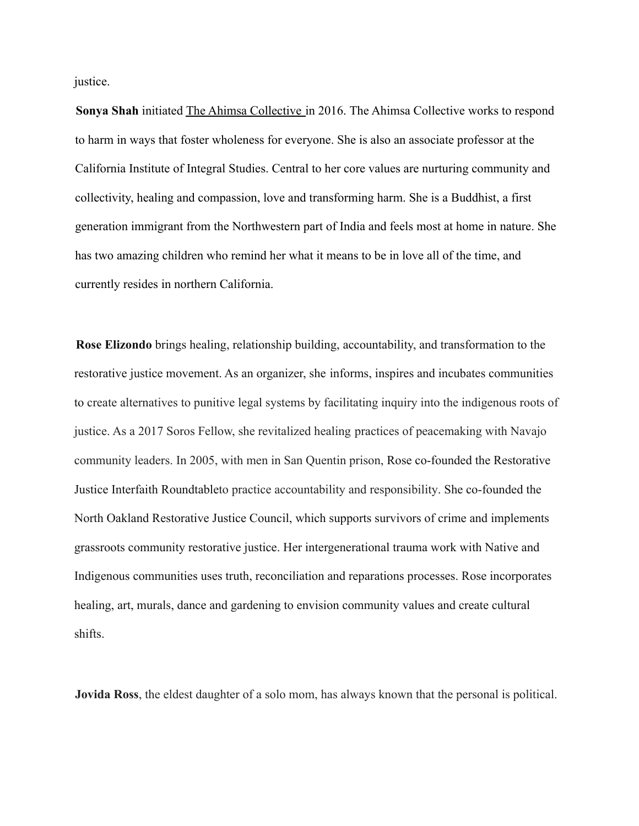justice.

**Sonya Shah** initiated The Ahimsa Collective in 2016. The Ahimsa Collective works to respond to harm in ways that foster wholeness for everyone. She is also an associate professor at the California Institute of Integral Studies. Central to her core values are nurturing community and collectivity, healing and compassion, love and transforming harm. She is a Buddhist, a first generation immigrant from the Northwestern part of India and feels most at home in nature. She has two amazing children who remind her what it means to be in love all of the time, and currently resides in northern California.

**Rose Elizondo** brings healing, relationship building, accountability, and transformation to the restorative justice movement. As an organizer, she informs, inspires and incubates communities to create alternatives to punitive legal systems by facilitating inquiry into the indigenous roots of justice. As a 2017 Soros Fellow, she revitalized healing practices of peacemaking with Navajo community leaders. In 2005, with men in San Quentin prison, Rose co-founded the Restorative Justice Interfaith Roundtableto practice accountability and responsibility. She co-founded the North Oakland Restorative Justice Council, which supports survivors of crime and implements grassroots community restorative justice. Her intergenerational trauma work with Native and Indigenous communities uses truth, reconciliation and reparations processes. Rose incorporates healing, art, murals, dance and gardening to envision community values and create cultural shifts.

**Jovida Ross**, the eldest daughter of a solo mom, has always known that the personal is political.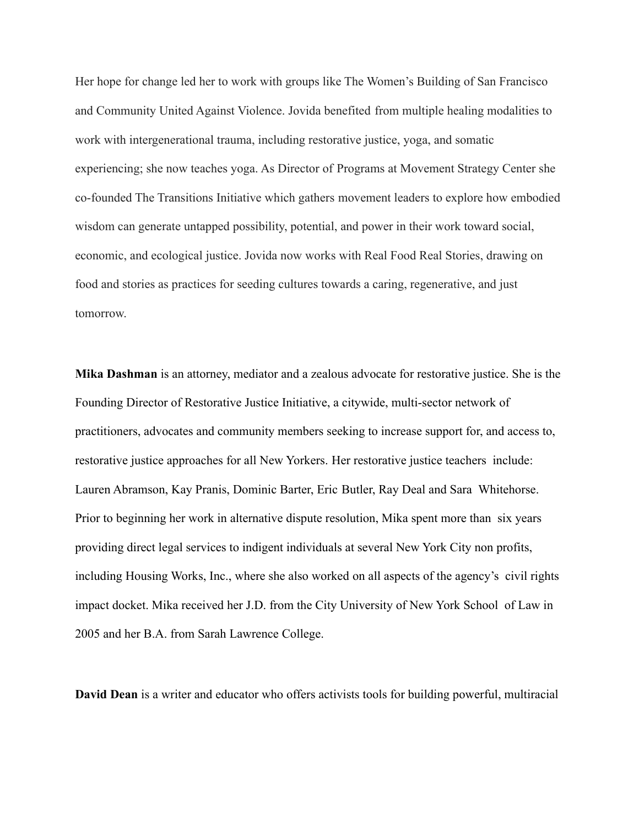Her hope for change led her to work with groups like The Women's Building of San Francisco and Community United Against Violence. Jovida benefited from multiple healing modalities to work with intergenerational trauma, including restorative justice, yoga, and somatic experiencing; she now teaches yoga. As Director of Programs at Movement Strategy Center she co-founded The Transitions Initiative which gathers movement leaders to explore how embodied wisdom can generate untapped possibility, potential, and power in their work toward social, economic, and ecological justice. Jovida now works with Real Food Real Stories, drawing on food and stories as practices for seeding cultures towards a caring, regenerative, and just tomorrow.

**Mika Dashman** is an attorney, mediator and a zealous advocate for restorative justice. She is the Founding Director of Restorative Justice Initiative, a citywide, multi-sector network of practitioners, advocates and community members seeking to increase support for, and access to, restorative justice approaches for all New Yorkers. Her restorative justice teachers include: Lauren Abramson, Kay Pranis, Dominic Barter, Eric Butler, Ray Deal and Sara Whitehorse. Prior to beginning her work in alternative dispute resolution, Mika spent more than six years providing direct legal services to indigent individuals at several New York City non profits, including Housing Works, Inc., where she also worked on all aspects of the agency's civil rights impact docket. Mika received her J.D. from the City University of New York School of Law in 2005 and her B.A. from Sarah Lawrence College.

**David Dean** is a writer and educator who offers activists tools for building powerful, multiracial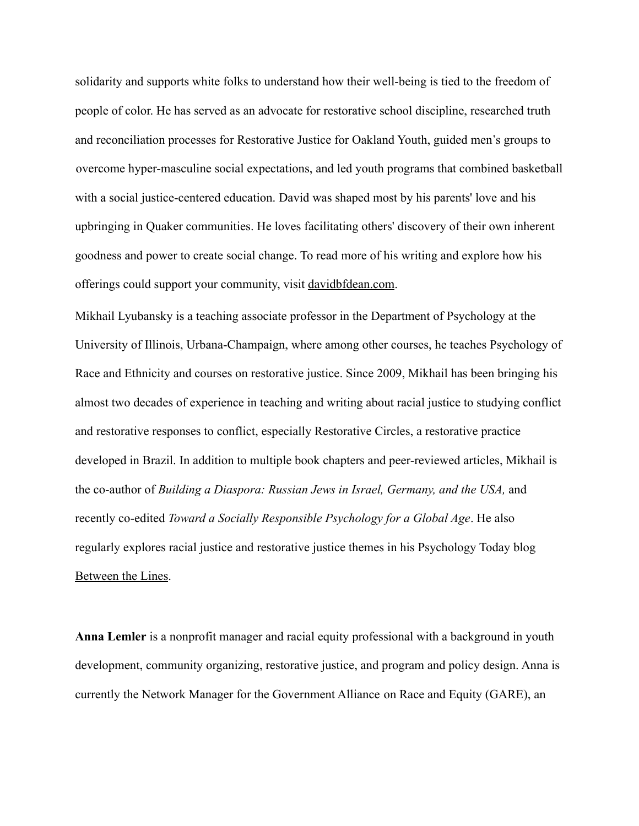solidarity and supports white folks to understand how their well-being is tied to the freedom of people of color. He has served as an advocate for restorative school discipline, researched truth and reconciliation processes for Restorative Justice for Oakland Youth, guided men's groups to overcome hyper-masculine social expectations, and led youth programs that combined basketball with a social justice-centered education. David was shaped most by his parents' love and his upbringing in Quaker communities. He loves facilitating others' discovery of their own inherent goodness and power to create social change. To read more of his writing and explore how his offerings could support your community, visit davidbfdean.com.

Mikhail Lyubansky is a teaching associate professor in the Department of Psychology at the University of Illinois, Urbana-Champaign, where among other courses, he teaches Psychology of Race and Ethnicity and courses on restorative justice. Since 2009, Mikhail has been bringing his almost two decades of experience in teaching and writing about racial justice to studying conflict and restorative responses to conflict, especially Restorative Circles, a restorative practice developed in Brazil. In addition to multiple book chapters and peer-reviewed articles, Mikhail is the co-author of *Building a Diaspora: Russian Jews in Israel, Germany, and the USA,* and recently co-edited *Toward a Socially Responsible Psychology for a Global Age*. He also regularly explores racial justice and restorative justice themes in his Psychology Today blog Between the Lines.

**Anna Lemler** is a nonprofit manager and racial equity professional with a background in youth development, community organizing, restorative justice, and program and policy design. Anna is currently the Network Manager for the Government Alliance on Race and Equity (GARE), an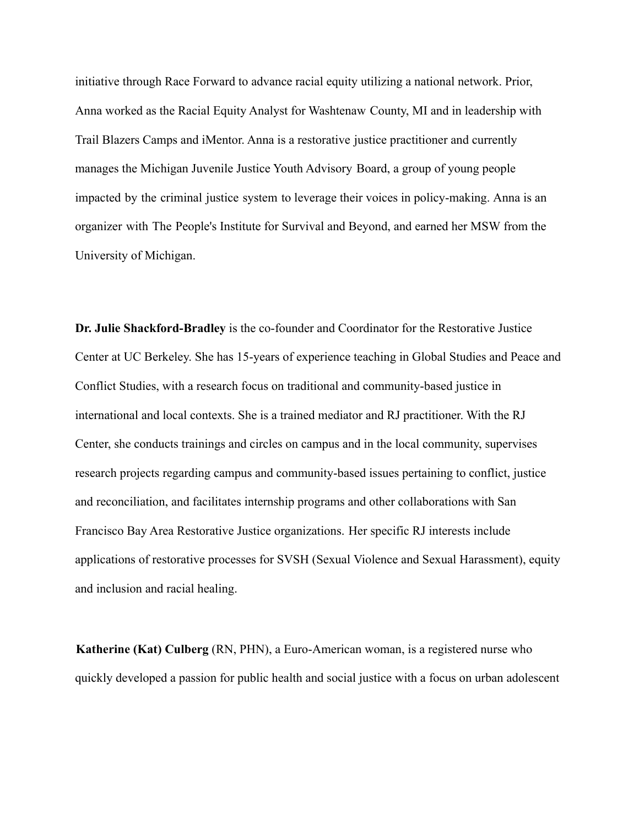initiative through Race Forward to advance racial equity utilizing a national network. Prior, Anna worked as the Racial Equity Analyst for Washtenaw County, MI and in leadership with Trail Blazers Camps and iMentor. Anna is a restorative justice practitioner and currently manages the Michigan Juvenile Justice Youth Advisory Board, a group of young people impacted by the criminal justice system to leverage their voices in policy-making. Anna is an organizer with The People's Institute for Survival and Beyond, and earned her MSW from the University of Michigan.

**Dr. Julie Shackford-Bradley** is the co-founder and Coordinator for the Restorative Justice Center at UC Berkeley. She has 15-years of experience teaching in Global Studies and Peace and Conflict Studies, with a research focus on traditional and community-based justice in international and local contexts. She is a trained mediator and RJ practitioner. With the RJ Center, she conducts trainings and circles on campus and in the local community, supervises research projects regarding campus and community-based issues pertaining to conflict, justice and reconciliation, and facilitates internship programs and other collaborations with San Francisco Bay Area Restorative Justice organizations. Her specific RJ interests include applications of restorative processes for SVSH (Sexual Violence and Sexual Harassment), equity and inclusion and racial healing.

**Katherine (Kat) Culberg** (RN, PHN), a Euro-American woman, is a registered nurse who quickly developed a passion for public health and social justice with a focus on urban adolescent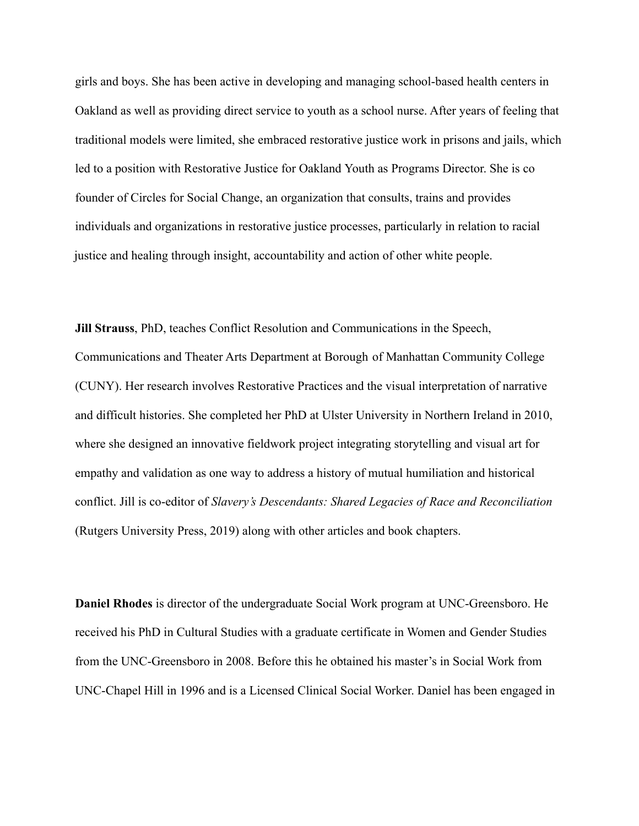girls and boys. She has been active in developing and managing school-based health centers in Oakland as well as providing direct service to youth as a school nurse. After years of feeling that traditional models were limited, she embraced restorative justice work in prisons and jails, which led to a position with Restorative Justice for Oakland Youth as Programs Director. She is co founder of Circles for Social Change, an organization that consults, trains and provides individuals and organizations in restorative justice processes, particularly in relation to racial justice and healing through insight, accountability and action of other white people.

**Jill Strauss**, PhD, teaches Conflict Resolution and Communications in the Speech, Communications and Theater Arts Department at Borough of Manhattan Community College (CUNY). Her research involves Restorative Practices and the visual interpretation of narrative and difficult histories. She completed her PhD at Ulster University in Northern Ireland in 2010, where she designed an innovative fieldwork project integrating storytelling and visual art for empathy and validation as one way to address a history of mutual humiliation and historical conflict. Jill is co-editor of *Slavery's Descendants: Shared Legacies of Race and Reconciliation* (Rutgers University Press, 2019) along with other articles and book chapters.

**Daniel Rhodes** is director of the undergraduate Social Work program at UNC-Greensboro. He received his PhD in Cultural Studies with a graduate certificate in Women and Gender Studies from the UNC-Greensboro in 2008. Before this he obtained his master's in Social Work from UNC-Chapel Hill in 1996 and is a Licensed Clinical Social Worker. Daniel has been engaged in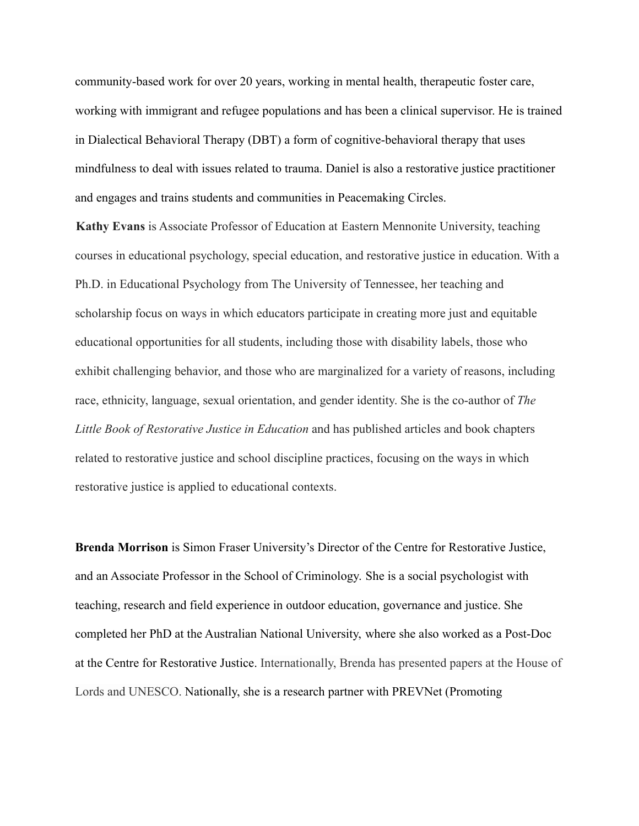community-based work for over 20 years, working in mental health, therapeutic foster care, working with immigrant and refugee populations and has been a clinical supervisor. He is trained in Dialectical Behavioral Therapy (DBT) a form of cognitive-behavioral therapy that uses mindfulness to deal with issues related to trauma. Daniel is also a restorative justice practitioner and engages and trains students and communities in Peacemaking Circles.

**Kathy Evans** is Associate Professor of Education at Eastern Mennonite University, teaching courses in educational psychology, special education, and restorative justice in education. With a Ph.D. in Educational Psychology from The University of Tennessee, her teaching and scholarship focus on ways in which educators participate in creating more just and equitable educational opportunities for all students, including those with disability labels, those who exhibit challenging behavior, and those who are marginalized for a variety of reasons, including race, ethnicity, language, sexual orientation, and gender identity. She is the co-author of *The Little Book of Restorative Justice in Education* and has published articles and book chapters related to restorative justice and school discipline practices, focusing on the ways in which restorative justice is applied to educational contexts.

**Brenda Morrison** is Simon Fraser University's Director of the Centre for Restorative Justice, and an Associate Professor in the School of Criminology. She is a social psychologist with teaching, research and field experience in outdoor education, governance and justice. She completed her PhD at the Australian National University, where she also worked as a Post-Doc at the Centre for Restorative Justice. Internationally, Brenda has presented papers at the House of Lords and UNESCO. Nationally, she is a research partner with PREVNet (Promoting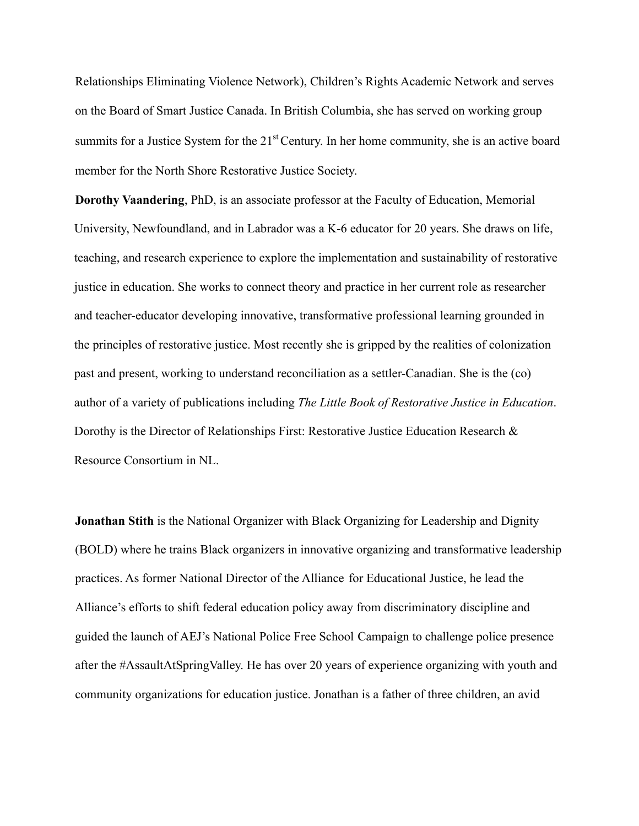Relationships Eliminating Violence Network), Children's Rights Academic Network and serves on the Board of Smart Justice Canada. In British Columbia, she has served on working group summits for a Justice System for the  $21<sup>st</sup>$  Century. In her home community, she is an active board member for the North Shore Restorative Justice Society.

**Dorothy Vaandering**, PhD, is an associate professor at the Faculty of Education, Memorial University, Newfoundland, and in Labrador was a K-6 educator for 20 years. She draws on life, teaching, and research experience to explore the implementation and sustainability of restorative justice in education. She works to connect theory and practice in her current role as researcher and teacher-educator developing innovative, transformative professional learning grounded in the principles of restorative justice. Most recently she is gripped by the realities of colonization past and present, working to understand reconciliation as a settler-Canadian. She is the (co) author of a variety of publications including *The Little Book of Restorative Justice in Education*. Dorothy is the Director of Relationships First: Restorative Justice Education Research & Resource Consortium in NL.

**Jonathan Stith** is the National Organizer with Black Organizing for Leadership and Dignity (BOLD) where he trains Black organizers in innovative organizing and transformative leadership practices. As former National Director of the Alliance for Educational Justice, he lead the Alliance's efforts to shift federal education policy away from discriminatory discipline and guided the launch of AEJ's National Police Free School Campaign to challenge police presence after the #AssaultAtSpringValley. He has over 20 years of experience organizing with youth and community organizations for education justice. Jonathan is a father of three children, an avid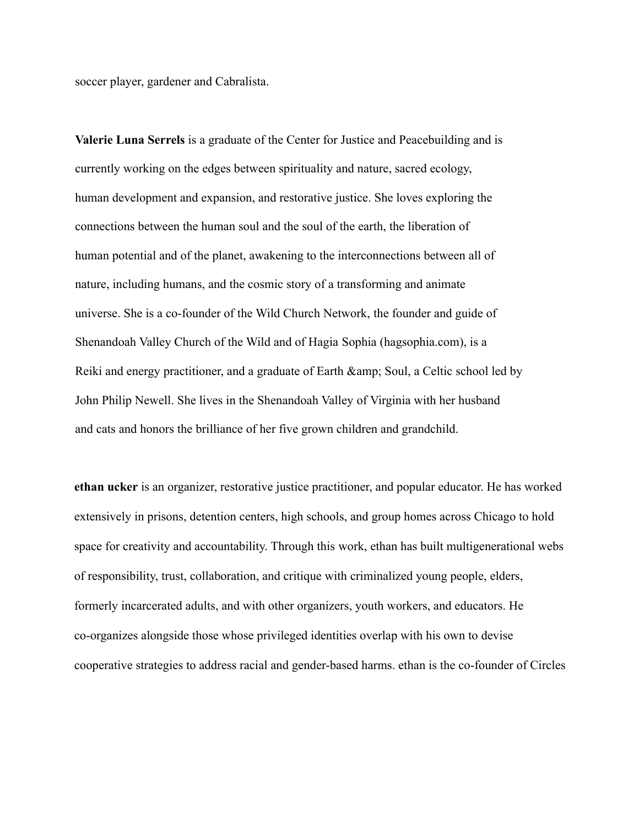soccer player, gardener and Cabralista.

**Valerie Luna Serrels** is a graduate of the Center for Justice and Peacebuilding and is currently working on the edges between spirituality and nature, sacred ecology, human development and expansion, and restorative justice. She loves exploring the connections between the human soul and the soul of the earth, the liberation of human potential and of the planet, awakening to the interconnections between all of nature, including humans, and the cosmic story of a transforming and animate universe. She is a co-founder of the Wild Church Network, the founder and guide of Shenandoah Valley Church of the Wild and of Hagia Sophia (hagsophia.com), is a Reiki and energy practitioner, and a graduate of Earth & amp; Soul, a Celtic school led by John Philip Newell. She lives in the Shenandoah Valley of Virginia with her husband and cats and honors the brilliance of her five grown children and grandchild.

**ethan ucker** is an organizer, restorative justice practitioner, and popular educator. He has worked extensively in prisons, detention centers, high schools, and group homes across Chicago to hold space for creativity and accountability. Through this work, ethan has built multigenerational webs of responsibility, trust, collaboration, and critique with criminalized young people, elders, formerly incarcerated adults, and with other organizers, youth workers, and educators. He co-organizes alongside those whose privileged identities overlap with his own to devise cooperative strategies to address racial and gender-based harms. ethan is the co-founder of Circles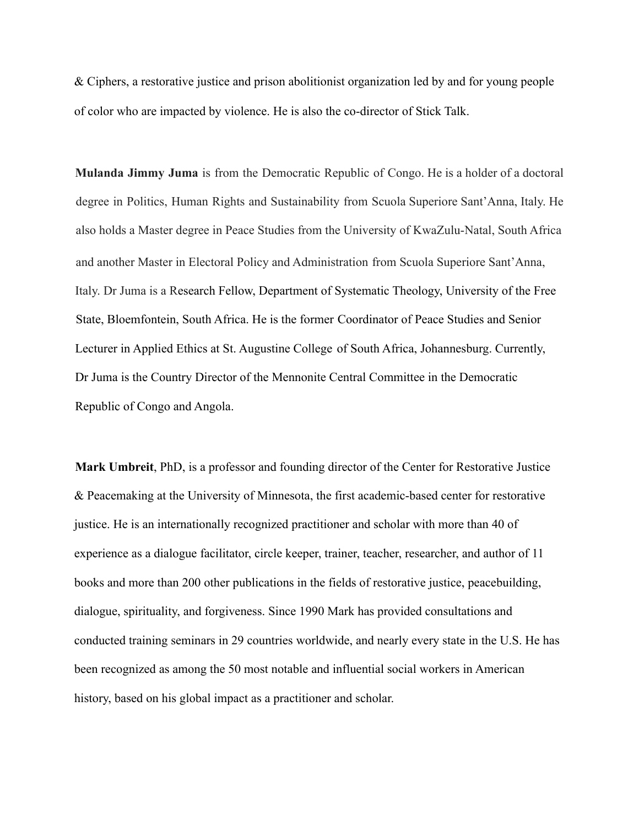& Ciphers, a restorative justice and prison abolitionist organization led by and for young people of color who are impacted by violence. He is also the co-director of Stick Talk.

**Mulanda Jimmy Juma** is from the Democratic Republic of Congo. He is a holder of a doctoral degree in Politics, Human Rights and Sustainability from Scuola Superiore Sant'Anna, Italy. He also holds a Master degree in Peace Studies from the University of KwaZulu-Natal, South Africa and another Master in Electoral Policy and Administration from Scuola Superiore Sant'Anna, Italy. Dr Juma is a Research Fellow, Department of Systematic Theology, University of the Free State, Bloemfontein, South Africa. He is the former Coordinator of Peace Studies and Senior Lecturer in Applied Ethics at St. Augustine College of South Africa, Johannesburg. Currently, Dr Juma is the Country Director of the Mennonite Central Committee in the Democratic Republic of Congo and Angola.

**Mark Umbreit**, PhD, is a professor and founding director of the Center for Restorative Justice & Peacemaking at the University of Minnesota, the first academic-based center for restorative justice. He is an internationally recognized practitioner and scholar with more than 40 of experience as a dialogue facilitator, circle keeper, trainer, teacher, researcher, and author of 11 books and more than 200 other publications in the fields of restorative justice, peacebuilding, dialogue, spirituality, and forgiveness. Since 1990 Mark has provided consultations and conducted training seminars in 29 countries worldwide, and nearly every state in the U.S. He has been recognized as among the 50 most notable and influential social workers in American history, based on his global impact as a practitioner and scholar.